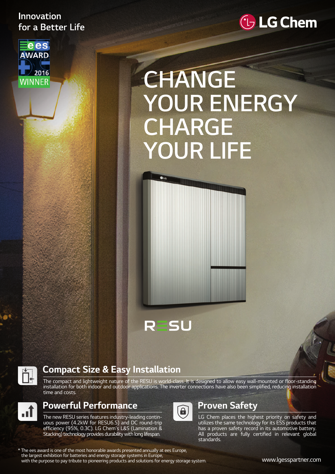#### Innovation for a Better Life



## *C* LG Chem

# **CHANGE YOUR ENERGY CHARGE YOUR LIFE**



 $\bullet$ LG



#### **Compact Size & Easy Installation**

The compact and lightweight nature of the RESU is world-class. It is designed to allow easy wall-mounted or floor-standing installation for both indoor and outdoor applications. The inverter connections have also been simplified, reducing installation time and costs.



#### **Powerful Performance**

The new RESU series features industry-leading continuous power (4.2kW for RESU6.5) and DC round-trip efficiency (95%, 0.3C). LG Chem's L&S (Lamination & Stacking) technology provides durability with long lifespan.



#### **Proven Safety**

LG Chem places the highest priority on safety and utilizes the same technology for its ESS products that has a proven safety record in its automotive battery. All products are fully certified in relevant global standards.

\* The ees award is one of the most honorable awards presented annually at ees Europe, the largest exhibition for batteries and energy storage systems in Europe, with the purpose to pay tribute to pioneering products and solutions for energy storage system.

www.lgesspartner.com